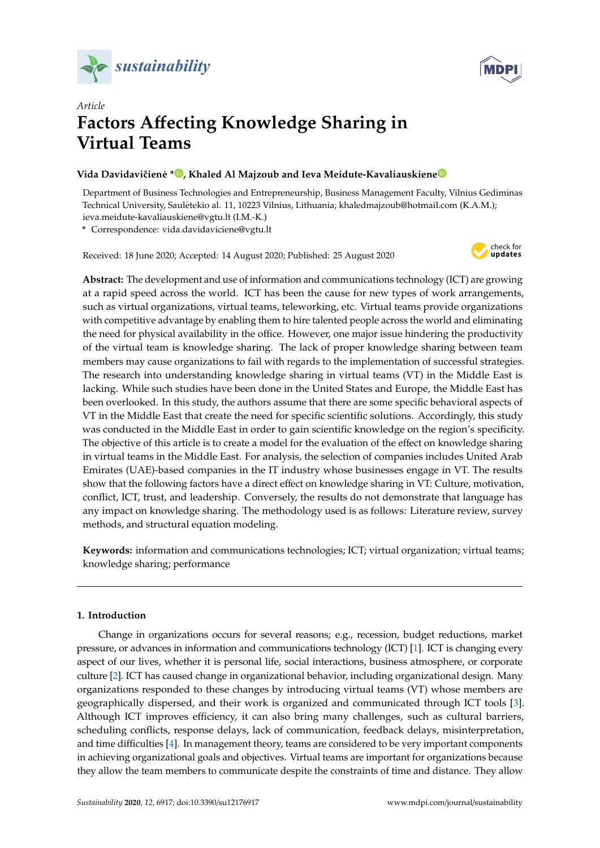



# *Article* **Factors A**ff**ecting Knowledge Sharing in Virtual Teams**

# **Vida Davidaviˇciene [\\*](https://orcid.org/0000-0002-0931-0967) ˙ , Khaled Al Majzoub and Ieva Meidute-Kavaliauskien[e](https://orcid.org/0000-0003-0435-7632)**

Department of Business Technologies and Entrepreneurship, Business Management Faculty, Vilnius Gediminas Technical University, Sauletekio al. 11, 10223 Vilnius, Lithuania; khaledmajzoub@hotmail.com (K.A.M.); ˙ ieva.meidute-kavaliauskiene@vgtu.lt (I.M.-K.)

**\*** Correspondence: vida.davidaviciene@vgtu.lt

Received: 18 June 2020; Accepted: 14 August 2020; Published: 25 August 2020



**Abstract:** The development and use of information and communications technology (ICT) are growing at a rapid speed across the world. ICT has been the cause for new types of work arrangements, such as virtual organizations, virtual teams, teleworking, etc. Virtual teams provide organizations with competitive advantage by enabling them to hire talented people across the world and eliminating the need for physical availability in the office. However, one major issue hindering the productivity of the virtual team is knowledge sharing. The lack of proper knowledge sharing between team members may cause organizations to fail with regards to the implementation of successful strategies. The research into understanding knowledge sharing in virtual teams (VT) in the Middle East is lacking. While such studies have been done in the United States and Europe, the Middle East has been overlooked. In this study, the authors assume that there are some specific behavioral aspects of VT in the Middle East that create the need for specific scientific solutions. Accordingly, this study was conducted in the Middle East in order to gain scientific knowledge on the region's specificity. The objective of this article is to create a model for the evaluation of the effect on knowledge sharing in virtual teams in the Middle East. For analysis, the selection of companies includes United Arab Emirates (UAE)-based companies in the IT industry whose businesses engage in VT. The results show that the following factors have a direct effect on knowledge sharing in VT: Culture, motivation, conflict, ICT, trust, and leadership. Conversely, the results do not demonstrate that language has any impact on knowledge sharing. The methodology used is as follows: Literature review, survey methods, and structural equation modeling.

**Keywords:** information and communications technologies; ICT; virtual organization; virtual teams; knowledge sharing; performance

# **1. Introduction**

Change in organizations occurs for several reasons; e.g., recession, budget reductions, market pressure, or advances in information and communications technology (ICT) [\[1\]](#page-12-0). ICT is changing every aspect of our lives, whether it is personal life, social interactions, business atmosphere, or corporate culture [\[2\]](#page-12-1). ICT has caused change in organizational behavior, including organizational design. Many organizations responded to these changes by introducing virtual teams (VT) whose members are geographically dispersed, and their work is organized and communicated through ICT tools [\[3\]](#page-12-2). Although ICT improves efficiency, it can also bring many challenges, such as cultural barriers, scheduling conflicts, response delays, lack of communication, feedback delays, misinterpretation, and time difficulties [\[4\]](#page-12-3). In management theory, teams are considered to be very important components in achieving organizational goals and objectives. Virtual teams are important for organizations because they allow the team members to communicate despite the constraints of time and distance. They allow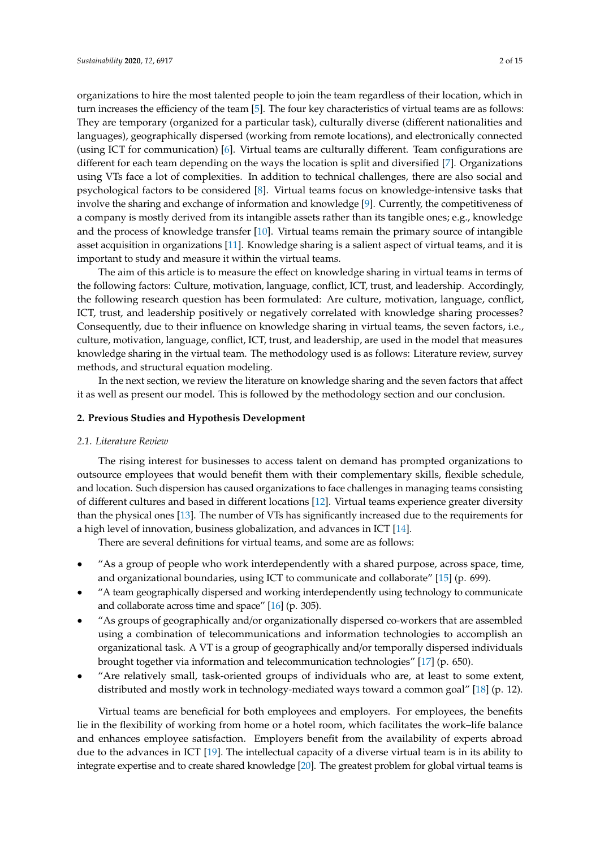organizations to hire the most talented people to join the team regardless of their location, which in turn increases the efficiency of the team [\[5\]](#page-13-0). The four key characteristics of virtual teams are as follows: They are temporary (organized for a particular task), culturally diverse (different nationalities and languages), geographically dispersed (working from remote locations), and electronically connected (using ICT for communication) [\[6\]](#page-13-1). Virtual teams are culturally different. Team configurations are different for each team depending on the ways the location is split and diversified [\[7\]](#page-13-2). Organizations using VTs face a lot of complexities. In addition to technical challenges, there are also social and psychological factors to be considered [\[8\]](#page-13-3). Virtual teams focus on knowledge-intensive tasks that involve the sharing and exchange of information and knowledge [\[9\]](#page-13-4). Currently, the competitiveness of a company is mostly derived from its intangible assets rather than its tangible ones; e.g., knowledge and the process of knowledge transfer [\[10\]](#page-13-5). Virtual teams remain the primary source of intangible asset acquisition in organizations [\[11\]](#page-13-6). Knowledge sharing is a salient aspect of virtual teams, and it is important to study and measure it within the virtual teams.

The aim of this article is to measure the effect on knowledge sharing in virtual teams in terms of the following factors: Culture, motivation, language, conflict, ICT, trust, and leadership. Accordingly, the following research question has been formulated: Are culture, motivation, language, conflict, ICT, trust, and leadership positively or negatively correlated with knowledge sharing processes? Consequently, due to their influence on knowledge sharing in virtual teams, the seven factors, i.e., culture, motivation, language, conflict, ICT, trust, and leadership, are used in the model that measures knowledge sharing in the virtual team. The methodology used is as follows: Literature review, survey methods, and structural equation modeling.

In the next section, we review the literature on knowledge sharing and the seven factors that affect it as well as present our model. This is followed by the methodology section and our conclusion.

### **2. Previous Studies and Hypothesis Development**

#### *2.1. Literature Review*

The rising interest for businesses to access talent on demand has prompted organizations to outsource employees that would benefit them with their complementary skills, flexible schedule, and location. Such dispersion has caused organizations to face challenges in managing teams consisting of different cultures and based in different locations [\[12\]](#page-13-7). Virtual teams experience greater diversity than the physical ones [\[13\]](#page-13-8). The number of VTs has significantly increased due to the requirements for a high level of innovation, business globalization, and advances in ICT [\[14\]](#page-13-9).

There are several definitions for virtual teams, and some are as follows:

- "As a group of people who work interdependently with a shared purpose, across space, time, and organizational boundaries, using ICT to communicate and collaborate" [\[15\]](#page-13-10) (p. 699).
- "A team geographically dispersed and working interdependently using technology to communicate and collaborate across time and space" [\[16\]](#page-13-11) (p. 305).
- "As groups of geographically and/or organizationally dispersed co-workers that are assembled using a combination of telecommunications and information technologies to accomplish an organizational task. A VT is a group of geographically and/or temporally dispersed individuals brought together via information and telecommunication technologies" [\[17\]](#page-13-12) (p. 650).
- "Are relatively small, task-oriented groups of individuals who are, at least to some extent, distributed and mostly work in technology-mediated ways toward a common goal" [\[18\]](#page-13-13) (p. 12).

Virtual teams are beneficial for both employees and employers. For employees, the benefits lie in the flexibility of working from home or a hotel room, which facilitates the work–life balance and enhances employee satisfaction. Employers benefit from the availability of experts abroad due to the advances in ICT [\[19\]](#page-13-14). The intellectual capacity of a diverse virtual team is in its ability to integrate expertise and to create shared knowledge [\[20\]](#page-13-15). The greatest problem for global virtual teams is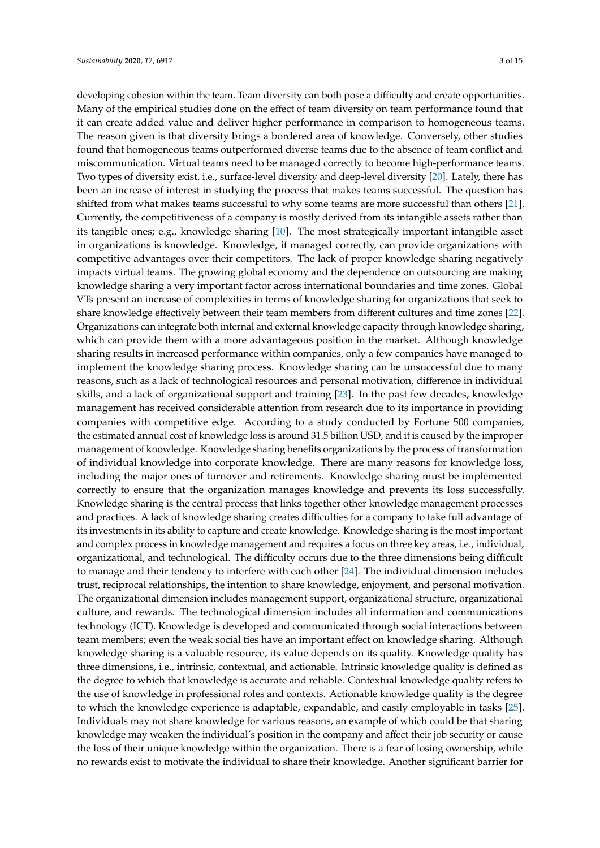developing cohesion within the team. Team diversity can both pose a difficulty and create opportunities. Many of the empirical studies done on the effect of team diversity on team performance found that it can create added value and deliver higher performance in comparison to homogeneous teams. The reason given is that diversity brings a bordered area of knowledge. Conversely, other studies found that homogeneous teams outperformed diverse teams due to the absence of team conflict and miscommunication. Virtual teams need to be managed correctly to become high-performance teams. Two types of diversity exist, i.e., surface-level diversity and deep-level diversity [\[20\]](#page-13-15). Lately, there has been an increase of interest in studying the process that makes teams successful. The question has shifted from what makes teams successful to why some teams are more successful than others [\[21\]](#page-13-16). Currently, the competitiveness of a company is mostly derived from its intangible assets rather than its tangible ones; e.g., knowledge sharing [\[10\]](#page-13-5). The most strategically important intangible asset in organizations is knowledge. Knowledge, if managed correctly, can provide organizations with competitive advantages over their competitors. The lack of proper knowledge sharing negatively impacts virtual teams. The growing global economy and the dependence on outsourcing are making knowledge sharing a very important factor across international boundaries and time zones. Global VTs present an increase of complexities in terms of knowledge sharing for organizations that seek to share knowledge effectively between their team members from different cultures and time zones [\[22\]](#page-13-17). Organizations can integrate both internal and external knowledge capacity through knowledge sharing, which can provide them with a more advantageous position in the market. Although knowledge sharing results in increased performance within companies, only a few companies have managed to implement the knowledge sharing process. Knowledge sharing can be unsuccessful due to many reasons, such as a lack of technological resources and personal motivation, difference in individual skills, and a lack of organizational support and training [\[23\]](#page-13-18). In the past few decades, knowledge management has received considerable attention from research due to its importance in providing companies with competitive edge. According to a study conducted by Fortune 500 companies, the estimated annual cost of knowledge loss is around 31.5 billion USD, and it is caused by the improper management of knowledge. Knowledge sharing benefits organizations by the process of transformation of individual knowledge into corporate knowledge. There are many reasons for knowledge loss, including the major ones of turnover and retirements. Knowledge sharing must be implemented correctly to ensure that the organization manages knowledge and prevents its loss successfully. Knowledge sharing is the central process that links together other knowledge management processes and practices. A lack of knowledge sharing creates difficulties for a company to take full advantage of its investments in its ability to capture and create knowledge. Knowledge sharing is the most important and complex process in knowledge management and requires a focus on three key areas, i.e., individual, organizational, and technological. The difficulty occurs due to the three dimensions being difficult to manage and their tendency to interfere with each other [\[24\]](#page-13-19). The individual dimension includes trust, reciprocal relationships, the intention to share knowledge, enjoyment, and personal motivation. The organizational dimension includes management support, organizational structure, organizational culture, and rewards. The technological dimension includes all information and communications technology (ICT). Knowledge is developed and communicated through social interactions between team members; even the weak social ties have an important effect on knowledge sharing. Although knowledge sharing is a valuable resource, its value depends on its quality. Knowledge quality has three dimensions, i.e., intrinsic, contextual, and actionable. Intrinsic knowledge quality is defined as the degree to which that knowledge is accurate and reliable. Contextual knowledge quality refers to the use of knowledge in professional roles and contexts. Actionable knowledge quality is the degree to which the knowledge experience is adaptable, expandable, and easily employable in tasks [\[25\]](#page-13-20). Individuals may not share knowledge for various reasons, an example of which could be that sharing knowledge may weaken the individual's position in the company and affect their job security or cause the loss of their unique knowledge within the organization. There is a fear of losing ownership, while no rewards exist to motivate the individual to share their knowledge. Another significant barrier for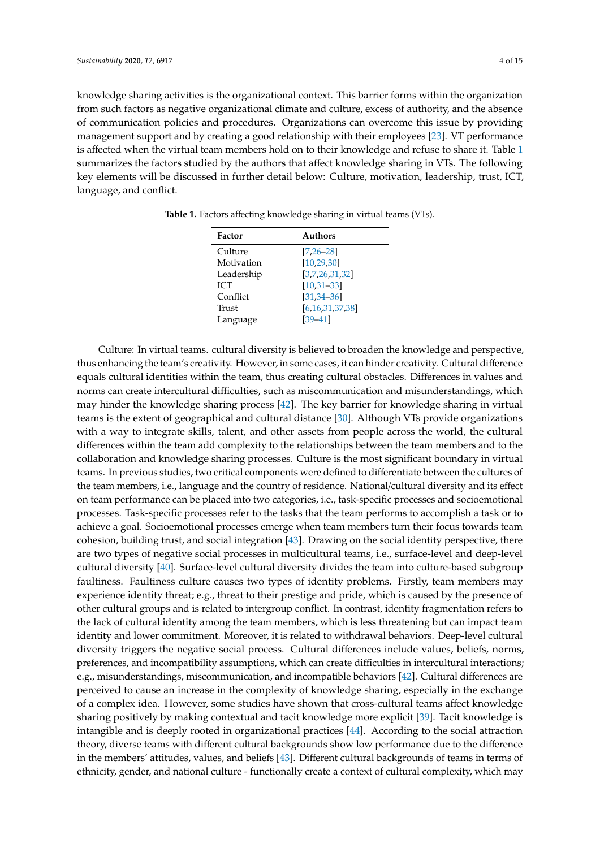knowledge sharing activities is the organizational context. This barrier forms within the organization from such factors as negative organizational climate and culture, excess of authority, and the absence of communication policies and procedures. Organizations can overcome this issue by providing management support and by creating a good relationship with their employees [\[23\]](#page-13-18). VT performance is affected when the virtual team members hold on to their knowledge and refuse to share it. Table [1](#page-3-0) summarizes the factors studied by the authors that affect knowledge sharing in VTs. The following key elements will be discussed in further detail below: Culture, motivation, leadership, trust, ICT, language, and conflict.

| Factor     | Authors             |
|------------|---------------------|
| Culture    | $[7, 26 - 28]$      |
| Motivation | [10, 29, 30]        |
| Leadership | [3,7,26,31,32]      |
| <b>ICT</b> | $[10, 31 - 33]$     |
| Conflict   | $[31, 34 - 36]$     |
| Trust      | [6, 16, 31, 37, 38] |
| Language   | $[39 - 41]$         |

<span id="page-3-0"></span>**Table 1.** Factors affecting knowledge sharing in virtual teams (VTs).

Culture: In virtual teams. cultural diversity is believed to broaden the knowledge and perspective, thus enhancing the team's creativity. However, in some cases, it can hinder creativity. Cultural difference equals cultural identities within the team, thus creating cultural obstacles. Differences in values and norms can create intercultural difficulties, such as miscommunication and misunderstandings, which may hinder the knowledge sharing process [\[42\]](#page-14-12). The key barrier for knowledge sharing in virtual teams is the extent of geographical and cultural distance [\[30\]](#page-14-2). Although VTs provide organizations with a way to integrate skills, talent, and other assets from people across the world, the cultural differences within the team add complexity to the relationships between the team members and to the collaboration and knowledge sharing processes. Culture is the most significant boundary in virtual teams. In previous studies, two critical components were defined to differentiate between the cultures of the team members, i.e., language and the country of residence. National/cultural diversity and its effect on team performance can be placed into two categories, i.e., task-specific processes and socioemotional processes. Task-specific processes refer to the tasks that the team performs to accomplish a task or to achieve a goal. Socioemotional processes emerge when team members turn their focus towards team cohesion, building trust, and social integration [\[43\]](#page-14-13). Drawing on the social identity perspective, there are two types of negative social processes in multicultural teams, i.e., surface-level and deep-level cultural diversity [\[40\]](#page-14-14). Surface-level cultural diversity divides the team into culture-based subgroup faultiness. Faultiness culture causes two types of identity problems. Firstly, team members may experience identity threat; e.g., threat to their prestige and pride, which is caused by the presence of other cultural groups and is related to intergroup conflict. In contrast, identity fragmentation refers to the lack of cultural identity among the team members, which is less threatening but can impact team identity and lower commitment. Moreover, it is related to withdrawal behaviors. Deep-level cultural diversity triggers the negative social process. Cultural differences include values, beliefs, norms, preferences, and incompatibility assumptions, which can create difficulties in intercultural interactions; e.g., misunderstandings, miscommunication, and incompatible behaviors [\[42\]](#page-14-12). Cultural differences are perceived to cause an increase in the complexity of knowledge sharing, especially in the exchange of a complex idea. However, some studies have shown that cross-cultural teams affect knowledge sharing positively by making contextual and tacit knowledge more explicit [\[39\]](#page-14-10). Tacit knowledge is intangible and is deeply rooted in organizational practices [\[44\]](#page-14-15). According to the social attraction theory, diverse teams with different cultural backgrounds show low performance due to the difference in the members' attitudes, values, and beliefs [\[43\]](#page-14-13). Different cultural backgrounds of teams in terms of ethnicity, gender, and national culture - functionally create a context of cultural complexity, which may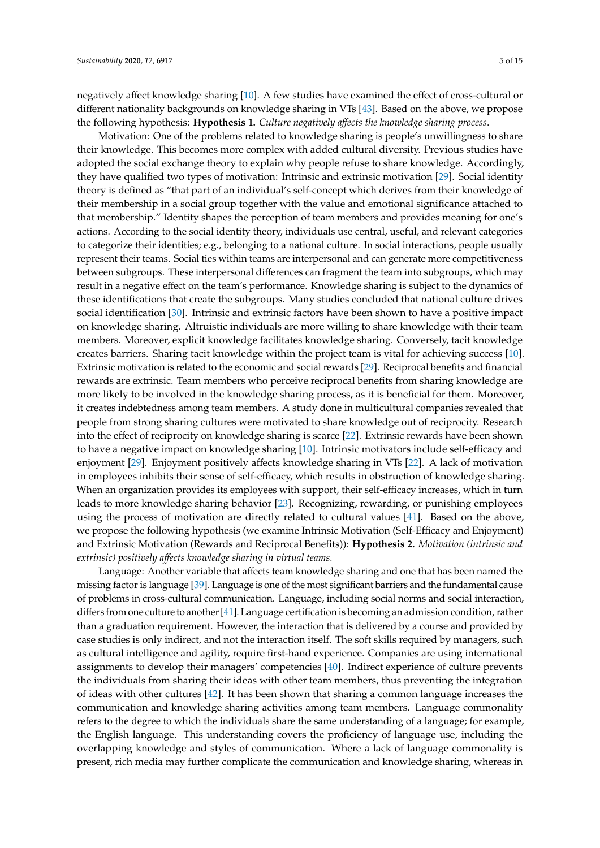negatively affect knowledge sharing [\[10\]](#page-13-5). A few studies have examined the effect of cross-cultural or different nationality backgrounds on knowledge sharing in VTs [\[43\]](#page-14-13). Based on the above, we propose the following hypothesis: **Hypothesis 1.** *Culture negatively a*ff*ects the knowledge sharing process*.

Motivation: One of the problems related to knowledge sharing is people's unwillingness to share their knowledge. This becomes more complex with added cultural diversity. Previous studies have adopted the social exchange theory to explain why people refuse to share knowledge. Accordingly, they have qualified two types of motivation: Intrinsic and extrinsic motivation [\[29\]](#page-14-1). Social identity theory is defined as "that part of an individual's self-concept which derives from their knowledge of their membership in a social group together with the value and emotional significance attached to that membership." Identity shapes the perception of team members and provides meaning for one's actions. According to the social identity theory, individuals use central, useful, and relevant categories to categorize their identities; e.g., belonging to a national culture. In social interactions, people usually represent their teams. Social ties within teams are interpersonal and can generate more competitiveness between subgroups. These interpersonal differences can fragment the team into subgroups, which may result in a negative effect on the team's performance. Knowledge sharing is subject to the dynamics of these identifications that create the subgroups. Many studies concluded that national culture drives social identification [\[30\]](#page-14-2). Intrinsic and extrinsic factors have been shown to have a positive impact on knowledge sharing. Altruistic individuals are more willing to share knowledge with their team members. Moreover, explicit knowledge facilitates knowledge sharing. Conversely, tacit knowledge creates barriers. Sharing tacit knowledge within the project team is vital for achieving success [\[10\]](#page-13-5). Extrinsic motivation is related to the economic and social rewards [\[29\]](#page-14-1). Reciprocal benefits and financial rewards are extrinsic. Team members who perceive reciprocal benefits from sharing knowledge are more likely to be involved in the knowledge sharing process, as it is beneficial for them. Moreover, it creates indebtedness among team members. A study done in multicultural companies revealed that people from strong sharing cultures were motivated to share knowledge out of reciprocity. Research into the effect of reciprocity on knowledge sharing is scarce [\[22\]](#page-13-17). Extrinsic rewards have been shown to have a negative impact on knowledge sharing [\[10\]](#page-13-5). Intrinsic motivators include self-efficacy and enjoyment [\[29\]](#page-14-1). Enjoyment positively affects knowledge sharing in VTs [\[22\]](#page-13-17). A lack of motivation in employees inhibits their sense of self-efficacy, which results in obstruction of knowledge sharing. When an organization provides its employees with support, their self-efficacy increases, which in turn leads to more knowledge sharing behavior [\[23\]](#page-13-18). Recognizing, rewarding, or punishing employees using the process of motivation are directly related to cultural values [\[41\]](#page-14-11). Based on the above, we propose the following hypothesis (we examine Intrinsic Motivation (Self-Efficacy and Enjoyment) and Extrinsic Motivation (Rewards and Reciprocal Benefits)): **Hypothesis 2.** *Motivation (intrinsic and extrinsic) positively a*ff*ects knowledge sharing in virtual teams.*

Language: Another variable that affects team knowledge sharing and one that has been named the missing factor is language [\[39\]](#page-14-10). Language is one of the most significant barriers and the fundamental cause of problems in cross-cultural communication. Language, including social norms and social interaction, differs from one culture to another [\[41\]](#page-14-11). Language certification is becoming an admission condition, rather than a graduation requirement. However, the interaction that is delivered by a course and provided by case studies is only indirect, and not the interaction itself. The soft skills required by managers, such as cultural intelligence and agility, require first-hand experience. Companies are using international assignments to develop their managers' competencies [\[40\]](#page-14-14). Indirect experience of culture prevents the individuals from sharing their ideas with other team members, thus preventing the integration of ideas with other cultures [\[42\]](#page-14-12). It has been shown that sharing a common language increases the communication and knowledge sharing activities among team members. Language commonality refers to the degree to which the individuals share the same understanding of a language; for example, the English language. This understanding covers the proficiency of language use, including the overlapping knowledge and styles of communication. Where a lack of language commonality is present, rich media may further complicate the communication and knowledge sharing, whereas in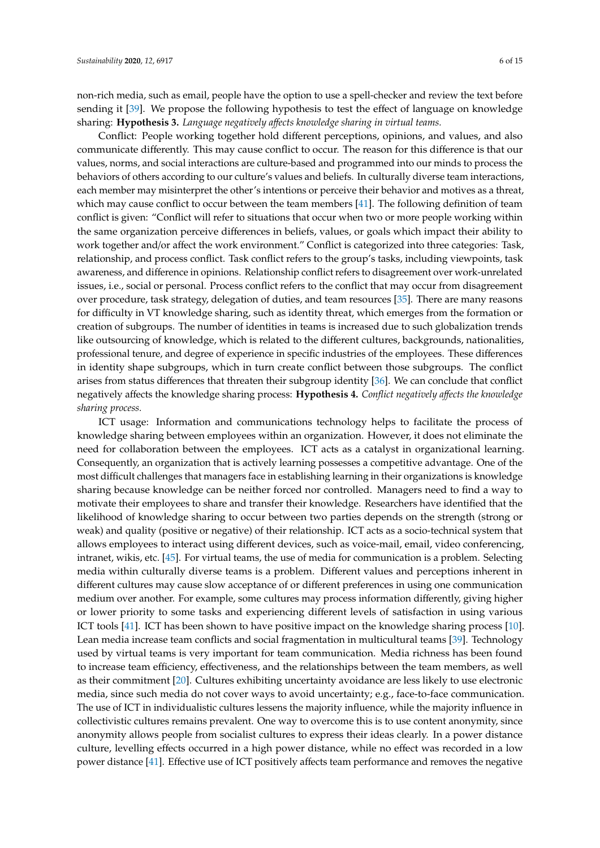non-rich media, such as email, people have the option to use a spell-checker and review the text before sending it [\[39\]](#page-14-10). We propose the following hypothesis to test the effect of language on knowledge sharing: **Hypothesis 3.** *Language negatively a*ff*ects knowledge sharing in virtual teams.*

Conflict: People working together hold different perceptions, opinions, and values, and also communicate differently. This may cause conflict to occur. The reason for this difference is that our values, norms, and social interactions are culture-based and programmed into our minds to process the behaviors of others according to our culture's values and beliefs. In culturally diverse team interactions, each member may misinterpret the other's intentions or perceive their behavior and motives as a threat, which may cause conflict to occur between the team members [\[41\]](#page-14-11). The following definition of team conflict is given: "Conflict will refer to situations that occur when two or more people working within the same organization perceive differences in beliefs, values, or goals which impact their ability to work together and/or affect the work environment." Conflict is categorized into three categories: Task, relationship, and process conflict. Task conflict refers to the group's tasks, including viewpoints, task awareness, and difference in opinions. Relationship conflict refers to disagreement over work-unrelated issues, i.e., social or personal. Process conflict refers to the conflict that may occur from disagreement over procedure, task strategy, delegation of duties, and team resources [\[35\]](#page-14-16). There are many reasons for difficulty in VT knowledge sharing, such as identity threat, which emerges from the formation or creation of subgroups. The number of identities in teams is increased due to such globalization trends like outsourcing of knowledge, which is related to the different cultures, backgrounds, nationalities, professional tenure, and degree of experience in specific industries of the employees. These differences in identity shape subgroups, which in turn create conflict between those subgroups. The conflict arises from status differences that threaten their subgroup identity [\[36\]](#page-14-7). We can conclude that conflict negatively affects the knowledge sharing process: **Hypothesis 4.** *Conflict negatively a*ff*ects the knowledge sharing process.*

ICT usage: Information and communications technology helps to facilitate the process of knowledge sharing between employees within an organization. However, it does not eliminate the need for collaboration between the employees. ICT acts as a catalyst in organizational learning. Consequently, an organization that is actively learning possesses a competitive advantage. One of the most difficult challenges that managers face in establishing learning in their organizations is knowledge sharing because knowledge can be neither forced nor controlled. Managers need to find a way to motivate their employees to share and transfer their knowledge. Researchers have identified that the likelihood of knowledge sharing to occur between two parties depends on the strength (strong or weak) and quality (positive or negative) of their relationship. ICT acts as a socio-technical system that allows employees to interact using different devices, such as voice-mail, email, video conferencing, intranet, wikis, etc. [\[45\]](#page-14-17). For virtual teams, the use of media for communication is a problem. Selecting media within culturally diverse teams is a problem. Different values and perceptions inherent in different cultures may cause slow acceptance of or different preferences in using one communication medium over another. For example, some cultures may process information differently, giving higher or lower priority to some tasks and experiencing different levels of satisfaction in using various ICT tools [\[41\]](#page-14-11). ICT has been shown to have positive impact on the knowledge sharing process [\[10\]](#page-13-5). Lean media increase team conflicts and social fragmentation in multicultural teams [\[39\]](#page-14-10). Technology used by virtual teams is very important for team communication. Media richness has been found to increase team efficiency, effectiveness, and the relationships between the team members, as well as their commitment [\[20\]](#page-13-15). Cultures exhibiting uncertainty avoidance are less likely to use electronic media, since such media do not cover ways to avoid uncertainty; e.g., face-to-face communication. The use of ICT in individualistic cultures lessens the majority influence, while the majority influence in collectivistic cultures remains prevalent. One way to overcome this is to use content anonymity, since anonymity allows people from socialist cultures to express their ideas clearly. In a power distance culture, levelling effects occurred in a high power distance, while no effect was recorded in a low power distance [\[41\]](#page-14-11). Effective use of ICT positively affects team performance and removes the negative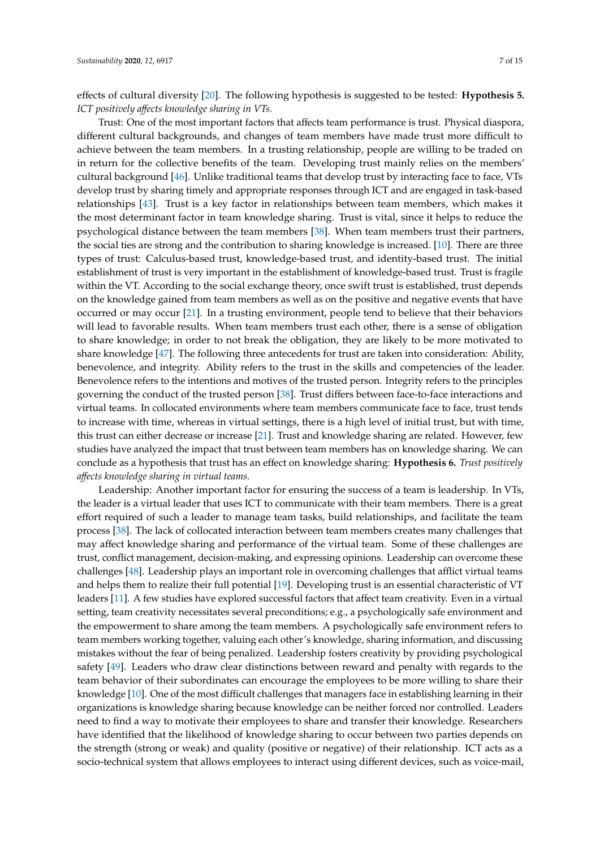effects of cultural diversity [\[20\]](#page-13-15). The following hypothesis is suggested to be tested: **Hypothesis 5.** *ICT positively a*ff*ects knowledge sharing in VTs.*

Trust: One of the most important factors that affects team performance is trust. Physical diaspora, different cultural backgrounds, and changes of team members have made trust more difficult to achieve between the team members. In a trusting relationship, people are willing to be traded on in return for the collective benefits of the team. Developing trust mainly relies on the members' cultural background [\[46\]](#page-14-18). Unlike traditional teams that develop trust by interacting face to face, VTs develop trust by sharing timely and appropriate responses through ICT and are engaged in task-based relationships [\[43\]](#page-14-13). Trust is a key factor in relationships between team members, which makes it the most determinant factor in team knowledge sharing. Trust is vital, since it helps to reduce the psychological distance between the team members [\[38\]](#page-14-9). When team members trust their partners, the social ties are strong and the contribution to sharing knowledge is increased. [\[10\]](#page-13-5). There are three types of trust: Calculus-based trust, knowledge-based trust, and identity-based trust. The initial establishment of trust is very important in the establishment of knowledge-based trust. Trust is fragile within the VT. According to the social exchange theory, once swift trust is established, trust depends on the knowledge gained from team members as well as on the positive and negative events that have occurred or may occur [\[21\]](#page-13-16). In a trusting environment, people tend to believe that their behaviors will lead to favorable results. When team members trust each other, there is a sense of obligation to share knowledge; in order to not break the obligation, they are likely to be more motivated to share knowledge [\[47\]](#page-14-19). The following three antecedents for trust are taken into consideration: Ability, benevolence, and integrity. Ability refers to the trust in the skills and competencies of the leader. Benevolence refers to the intentions and motives of the trusted person. Integrity refers to the principles governing the conduct of the trusted person [\[38\]](#page-14-9). Trust differs between face-to-face interactions and virtual teams. In collocated environments where team members communicate face to face, trust tends to increase with time, whereas in virtual settings, there is a high level of initial trust, but with time, this trust can either decrease or increase [\[21\]](#page-13-16). Trust and knowledge sharing are related. However, few studies have analyzed the impact that trust between team members has on knowledge sharing. We can conclude as a hypothesis that trust has an effect on knowledge sharing: **Hypothesis 6.** *Trust positively a*ff*ects knowledge sharing in virtual teams.*

Leadership: Another important factor for ensuring the success of a team is leadership. In VTs, the leader is a virtual leader that uses ICT to communicate with their team members. There is a great effort required of such a leader to manage team tasks, build relationships, and facilitate the team process [\[38\]](#page-14-9). The lack of collocated interaction between team members creates many challenges that may affect knowledge sharing and performance of the virtual team. Some of these challenges are trust, conflict management, decision-making, and expressing opinions. Leadership can overcome these challenges [\[48\]](#page-14-20). Leadership plays an important role in overcoming challenges that afflict virtual teams and helps them to realize their full potential [\[19\]](#page-13-14). Developing trust is an essential characteristic of VT leaders [\[11\]](#page-13-6). A few studies have explored successful factors that affect team creativity. Even in a virtual setting, team creativity necessitates several preconditions; e.g., a psychologically safe environment and the empowerment to share among the team members. A psychologically safe environment refers to team members working together, valuing each other's knowledge, sharing information, and discussing mistakes without the fear of being penalized. Leadership fosters creativity by providing psychological safety [\[49\]](#page-14-21). Leaders who draw clear distinctions between reward and penalty with regards to the team behavior of their subordinates can encourage the employees to be more willing to share their knowledge [\[10\]](#page-13-5). One of the most difficult challenges that managers face in establishing learning in their organizations is knowledge sharing because knowledge can be neither forced nor controlled. Leaders need to find a way to motivate their employees to share and transfer their knowledge. Researchers have identified that the likelihood of knowledge sharing to occur between two parties depends on the strength (strong or weak) and quality (positive or negative) of their relationship. ICT acts as a socio-technical system that allows employees to interact using different devices, such as voice-mail,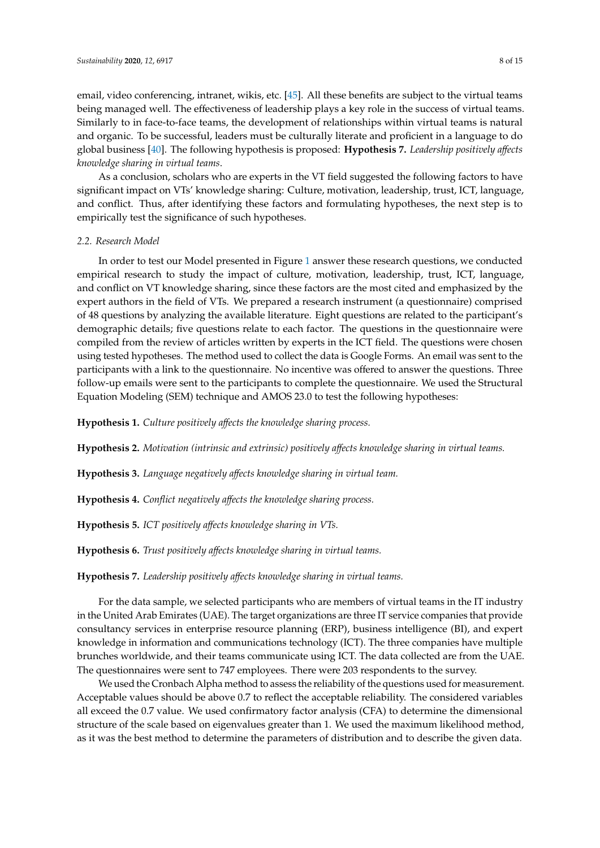email, video conferencing, intranet, wikis, etc. [\[45\]](#page-14-17). All these benefits are subject to the virtual teams being managed well. The effectiveness of leadership plays a key role in the success of virtual teams. Similarly to in face-to-face teams, the development of relationships within virtual teams is natural and organic. To be successful, leaders must be culturally literate and proficient in a language to do global business [\[40\]](#page-14-14). The following hypothesis is proposed: **Hypothesis 7.** *Leadership positively a*ff*ects knowledge sharing in virtual teams*.

As a conclusion, scholars who are experts in the VT field suggested the following factors to have significant impact on VTs' knowledge sharing: Culture, motivation, leadership, trust, ICT, language, and conflict. Thus, after identifying these factors and formulating hypotheses, the next step is to empirically test the significance of such hypotheses.

# *2.2. Research Model*

In order to test our Model presented in Figure [1](#page-8-0) answer these research questions, we conducted empirical research to study the impact of culture, motivation, leadership, trust, ICT, language, and conflict on VT knowledge sharing, since these factors are the most cited and emphasized by the expert authors in the field of VTs. We prepared a research instrument (a questionnaire) comprised of 48 questions by analyzing the available literature. Eight questions are related to the participant's demographic details; five questions relate to each factor. The questions in the questionnaire were compiled from the review of articles written by experts in the ICT field. The questions were chosen using tested hypotheses. The method used to collect the data is Google Forms. An email was sent to the participants with a link to the questionnaire. No incentive was offered to answer the questions. Three follow-up emails were sent to the participants to complete the questionnaire. We used the Structural Equation Modeling (SEM) technique and AMOS 23.0 to test the following hypotheses:

**Hypothesis 1.** *Culture positively a*ff*ects the knowledge sharing process.*

**Hypothesis 2.** *Motivation (intrinsic and extrinsic) positively a*ff*ects knowledge sharing in virtual teams.*

**Hypothesis 3.** *Language negatively a*ff*ects knowledge sharing in virtual team.*

**Hypothesis 4.** *Conflict negatively a*ff*ects the knowledge sharing process.*

**Hypothesis 5.** *ICT positively a*ff*ects knowledge sharing in VTs.*

**Hypothesis 6.** *Trust positively a*ff*ects knowledge sharing in virtual teams.*

# **Hypothesis 7.** *Leadership positively a*ff*ects knowledge sharing in virtual teams.*

For the data sample, we selected participants who are members of virtual teams in the IT industry in the United Arab Emirates (UAE). The target organizations are three IT service companies that provide consultancy services in enterprise resource planning (ERP), business intelligence (BI), and expert knowledge in information and communications technology (ICT). The three companies have multiple brunches worldwide, and their teams communicate using ICT. The data collected are from the UAE. The questionnaires were sent to 747 employees. There were 203 respondents to the survey.

We used the Cronbach Alpha method to assess the reliability of the questions used for measurement. Acceptable values should be above 0.7 to reflect the acceptable reliability. The considered variables all exceed the 0.7 value. We used confirmatory factor analysis (CFA) to determine the dimensional structure of the scale based on eigenvalues greater than 1. We used the maximum likelihood method, as it was the best method to determine the parameters of distribution and to describe the given data.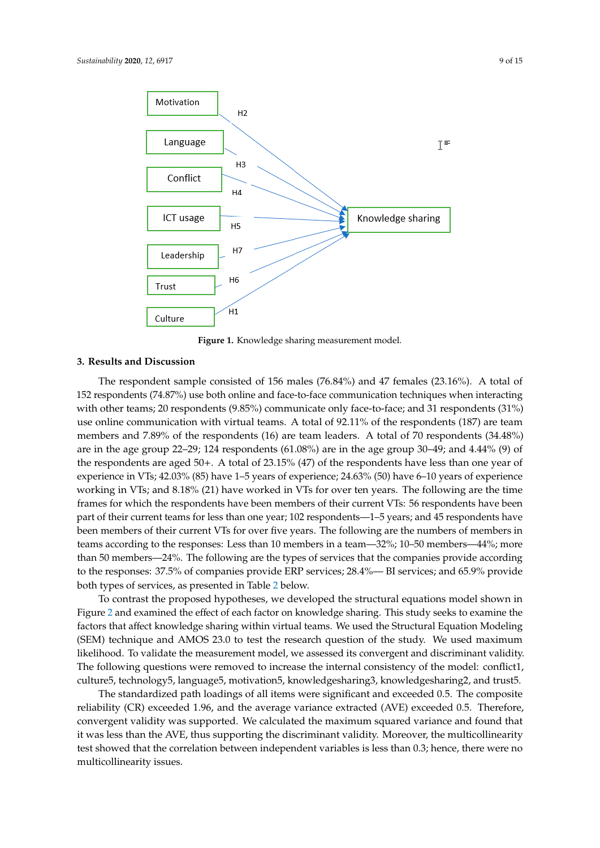

<span id="page-8-0"></span>**Hypothesis 7.** *Leadership positively affects knowledge sharing in virtual teams.* 

**Figure 1.** Knowledge sharing measurement model.

#### **Figure 1.** Knowledge sharing measurement model. **3. Results and Discussion**

The respondent sample consisted of 156 males (76.84%) and 47 females (23.16%). A total of 152 respondents (74.87%) use both online and face-to-face communication techniques when interacting with other teams; 20 respondents (9.85%) communicate only face-to-face; and 31 respondents (31%) use online communication with virtual teams. A total of 92.11% of the respondents (187) are team members and 7.89% of the respondents (16) are team leaders. A total of 70 respondents (34.48%) are in the age group 22–29; 124 respondents (61.08%) are in the age group 30–49; and 4.44% (9) of the respondents are aged 50+. A total of 23.15% (47) of the respondents have less than one year of experience in VTs; 42.03% (85) have 1–5 years of experience; 24.63% (50) have 6–10 years of experience working in VTs; and 8.18% (21) have worked in VTs for over ten years. The following are the time frames for which the respondents have been members of their current VTs: 56 respondents have been part of their current teams for less than one year; 102 respondents—1–5 years; and 45 respondents have been members of their current VTs for over five years. The following are the numbers of members in teams according to the responses: Less than 10 members in a team—32%; 10–50 members—44%; more than 50 members—24%. The following are the types of services that the companies provide according to the responses: 37.5% of companies provide ERP services; 28.4%— BI services; and 65.9% provide both types of services, as presented in Table [2](#page-9-0) below.

To contrast the proposed hypotheses, we developed the structural equations model shown in Figure [2](#page-9-1) and examined the effect of each factor on knowledge sharing. This study seeks to examine the factors that affect knowledge sharing within virtual teams. We used the Structural Equation Modeling (SEM) technique and AMOS 23.0 to test the research question of the study. We used maximum likelihood. To validate the measurement model, we assessed its convergent and discriminant validity. The following questions were removed to increase the internal consistency of the model: conflict1, culture5, technology5, language5, motivation5, knowledgesharing3, knowledgesharing2, and trust5.

The standardized path loadings of all items were significant and exceeded 0.5. The composite reliability (CR) exceeded 1.96, and the average variance extracted (AVE) exceeded 0.5. Therefore, convergent validity was supported. We calculated the maximum squared variance and found that it was less than the AVE, thus supporting the discriminant validity. Moreover, the multicollinearity test showed that the correlation between independent variables is less than 0.3; hence, there were no multicollinearity issues.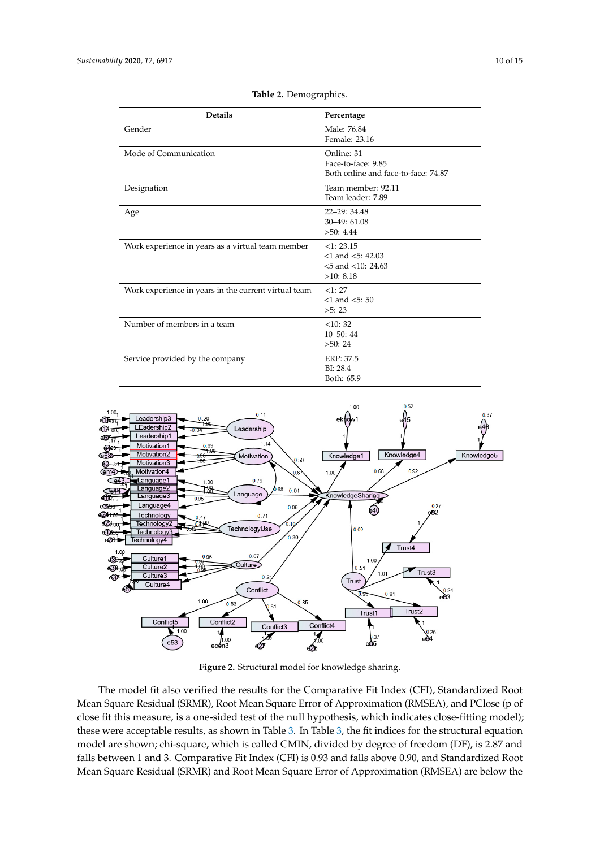<span id="page-9-0"></span>

| <b>Details</b>                                       | Percentage<br>Male: 76.84<br>Female: 23.16                                |  |  |
|------------------------------------------------------|---------------------------------------------------------------------------|--|--|
| Gender                                               |                                                                           |  |  |
| Mode of Communication                                | Online: 31<br>Face-to-face: 9.85<br>Both online and face-to-face: 74.87   |  |  |
| Designation                                          | Team member: 92.11<br>Team leader: 7.89                                   |  |  |
| Age                                                  | $22 - 29:34.48$<br>$30-49:61.08$<br>>50:4.44                              |  |  |
| Work experience in years as a virtual team member    | <1:23.15<br>$<$ 1 and $<$ 5: 42.03<br>$< 5$ and $< 10: 24.63$<br>>10:8.18 |  |  |
| Work experience in years in the current virtual team | <1:27<br>$<$ 1 and $<$ 5: 50<br>>5:23                                     |  |  |
| Number of members in a team                          | <10:32<br>$10 - 50:44$<br>>50:24                                          |  |  |
| Service provided by the company                      | ERP: 37.5<br>BI: 28.4<br>Both: 65.9                                       |  |  |

**Table 2.** Demographics.

<span id="page-9-1"></span>

**Figure 2.** Structural model for knowledge sharing.

The model fit also verified the results for the Comparative Fit Index (CFI), Standardized Root Mean Square Residual (SRMR), Root Mean Square Error of Approximation (RMSEA), and PClose (p of close fit this measure, is a one-sided test of the null hypothesis, which indicates close-fitting model); these were acceptable results, as shown in Table [3.](#page-10-0) In Table [3,](#page-10-0) the fit indices for the structural equation model are shown; chi-square, which is called CMIN, divided by degree of freedom (DF), is 2.87 and falls between 1 and 3. Comparative Fit Index (CFI) is 0.93 and falls above 0.90, and Standardized Root Mean Square Residual (SRMR) and Root Mean Square Error of Approximation (RMSEA) are below the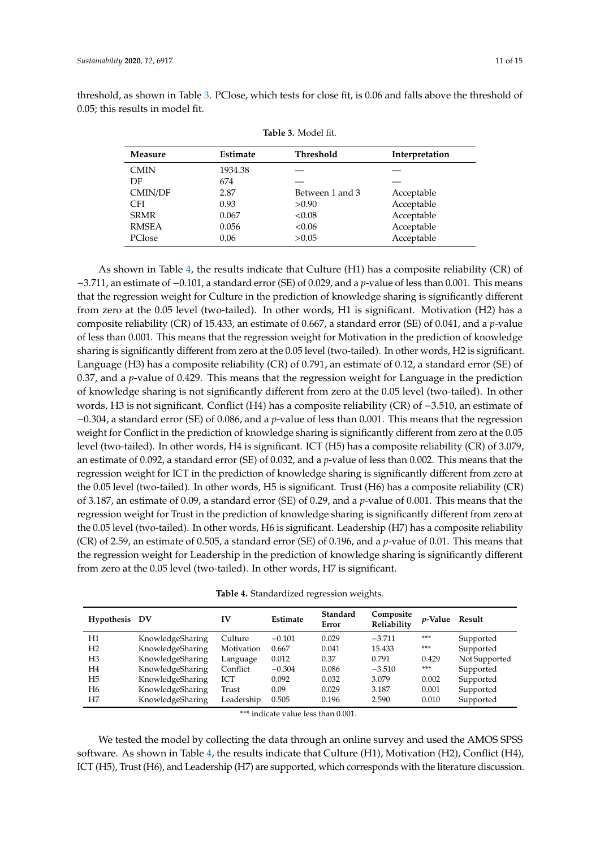<span id="page-10-0"></span>threshold, as shown in Table [3.](#page-10-0) PClose, which tests for close fit, is 0.06 and falls above the threshold of 0.05; this results in model fit.

| <b>Measure</b> | <b>Estimate</b> | <b>Threshold</b> | Interpretation |
|----------------|-----------------|------------------|----------------|
| <b>CMIN</b>    | 1934.38         |                  |                |
| DF             | 674             |                  |                |
| CMIN/DF        | 2.87            | Between 1 and 3  | Acceptable     |
| <b>CFI</b>     | 0.93            | >0.90            | Acceptable     |
| <b>SRMR</b>    | 0.067           | < 0.08           | Acceptable     |
| <b>RMSEA</b>   | 0.056           | < 0.06           | Acceptable     |
| PClose         | 0.06            | >0.05            | Acceptable     |
|                |                 |                  |                |

As shown in Table [4,](#page-10-1) the results indicate that Culture (H1) has a composite reliability (CR) of −3.711, an estimate of −0.101, a standard error (SE) of 0.029, and a *p*-value of less than 0.001. This means that the regression weight for Culture in the prediction of knowledge sharing is significantly different from zero at the 0.05 level (two-tailed). In other words, H1 is significant. Motivation (H2) has a composite reliability (CR) of 15.433, an estimate of 0.667, a standard error (SE) of 0.041, and a *p*-value of less than 0.001. This means that the regression weight for Motivation in the prediction of knowledge sharing is significantly different from zero at the 0.05 level (two-tailed). In other words, H2 is significant. Language (H3) has a composite reliability (CR) of 0.791, an estimate of 0.12, a standard error (SE) of 0.37, and a *p*-value of 0.429. This means that the regression weight for Language in the prediction of knowledge sharing is not significantly different from zero at the 0.05 level (two-tailed). In other words, H3 is not significant. Conflict (H4) has a composite reliability (CR) of −3.510, an estimate of −0.304, a standard error (SE) of 0.086, and a *p*-value of less than 0.001. This means that the regression weight for Conflict in the prediction of knowledge sharing is significantly different from zero at the 0.05 level (two-tailed). In other words, H4 is significant. ICT (H5) has a composite reliability (CR) of 3.079, an estimate of 0.092, a standard error (SE) of 0.032, and a *p*-value of less than 0.002. This means that the regression weight for ICT in the prediction of knowledge sharing is significantly different from zero at the 0.05 level (two-tailed). In other words, H5 is significant. Trust (H6) has a composite reliability (CR) of 3.187, an estimate of 0.09, a standard error (SE) of 0.29, and a *p*-value of 0.001. This means that the regression weight for Trust in the prediction of knowledge sharing is significantly different from zero at the 0.05 level (two-tailed). In other words, H6 is significant. Leadership (H7) has a composite reliability (CR) of 2.59, an estimate of 0.505, a standard error (SE) of 0.196, and a *p*-value of 0.01. This means that the regression weight for Leadership in the prediction of knowledge sharing is significantly different from zero at the 0.05 level (two-tailed). In other words, H7 is significant.

|  | Table 4. Standardized regression weights. |  |  |
|--|-------------------------------------------|--|--|
|--|-------------------------------------------|--|--|

<span id="page-10-1"></span>

| Hypothesis DV  |                  | IV         | Estimate | Standard<br>Error | Composite<br>Reliability | <i>v</i> -Value | Result        |
|----------------|------------------|------------|----------|-------------------|--------------------------|-----------------|---------------|
| H1             | KnowledgeSharing | Culture    | $-0.101$ | 0.029             | $-3.711$                 | ***             | Supported     |
| H <sub>2</sub> | KnowledgeSharing | Motivation | 0.667    | 0.041             | 15.433                   | ***             | Supported     |
| H <sub>3</sub> | KnowledgeSharing | Language   | 0.012    | 0.37              | 0.791                    | 0.429           | Not Supported |
| H <sub>4</sub> | KnowledgeSharing | Conflict   | $-0.304$ | 0.086             | $-3.510$                 | ***             | Supported     |
| H <sub>5</sub> | KnowledgeSharing | ICT        | 0.092    | 0.032             | 3.079                    | 0.002           | Supported     |
| H <sub>6</sub> | KnowledgeSharing | Trust      | 0.09     | 0.029             | 3.187                    | 0.001           | Supported     |
| H7             | KnowledgeSharing | Leadership | 0.505    | 0.196             | 2.590                    | 0.010           | Supported     |

\*\*\* indicate value less than 0.001.

We tested the model by collecting the data through an online survey and used the AMOS SPSS software. As shown in Table [4,](#page-10-1) the results indicate that Culture (H1), Motivation (H2), Conflict (H4), ICT (H5), Trust (H6), and Leadership (H7) are supported, which corresponds with the literature discussion.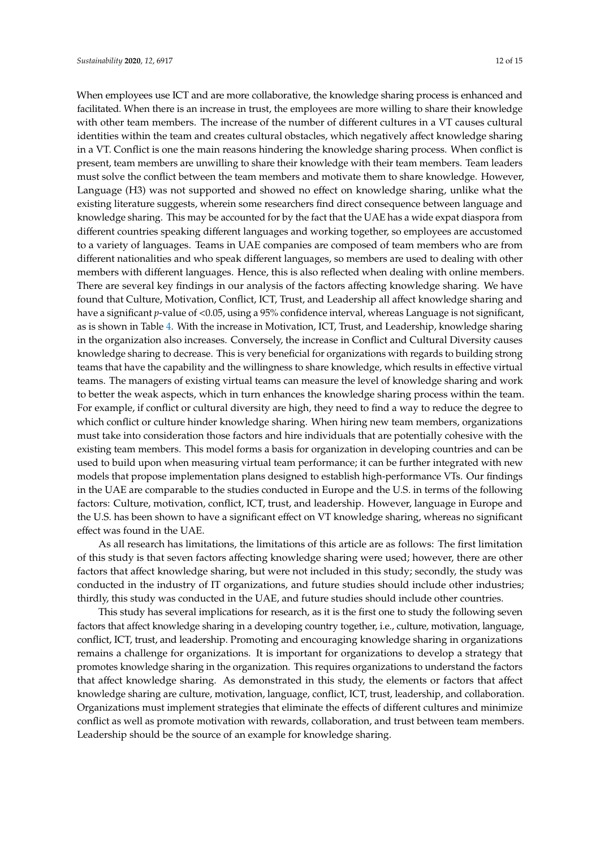When employees use ICT and are more collaborative, the knowledge sharing process is enhanced and facilitated. When there is an increase in trust, the employees are more willing to share their knowledge with other team members. The increase of the number of different cultures in a VT causes cultural identities within the team and creates cultural obstacles, which negatively affect knowledge sharing in a VT. Conflict is one the main reasons hindering the knowledge sharing process. When conflict is present, team members are unwilling to share their knowledge with their team members. Team leaders must solve the conflict between the team members and motivate them to share knowledge. However, Language (H3) was not supported and showed no effect on knowledge sharing, unlike what the existing literature suggests, wherein some researchers find direct consequence between language and knowledge sharing. This may be accounted for by the fact that the UAE has a wide expat diaspora from different countries speaking different languages and working together, so employees are accustomed to a variety of languages. Teams in UAE companies are composed of team members who are from different nationalities and who speak different languages, so members are used to dealing with other members with different languages. Hence, this is also reflected when dealing with online members. There are several key findings in our analysis of the factors affecting knowledge sharing. We have found that Culture, Motivation, Conflict, ICT, Trust, and Leadership all affect knowledge sharing and have a significant *p*-value of <0.05, using a 95% confidence interval, whereas Language is not significant, as is shown in Table [4.](#page-10-1) With the increase in Motivation, ICT, Trust, and Leadership, knowledge sharing in the organization also increases. Conversely, the increase in Conflict and Cultural Diversity causes knowledge sharing to decrease. This is very beneficial for organizations with regards to building strong teams that have the capability and the willingness to share knowledge, which results in effective virtual teams. The managers of existing virtual teams can measure the level of knowledge sharing and work to better the weak aspects, which in turn enhances the knowledge sharing process within the team. For example, if conflict or cultural diversity are high, they need to find a way to reduce the degree to which conflict or culture hinder knowledge sharing. When hiring new team members, organizations must take into consideration those factors and hire individuals that are potentially cohesive with the existing team members. This model forms a basis for organization in developing countries and can be used to build upon when measuring virtual team performance; it can be further integrated with new models that propose implementation plans designed to establish high-performance VTs. Our findings in the UAE are comparable to the studies conducted in Europe and the U.S. in terms of the following factors: Culture, motivation, conflict, ICT, trust, and leadership. However, language in Europe and the U.S. has been shown to have a significant effect on VT knowledge sharing, whereas no significant effect was found in the UAE.

As all research has limitations, the limitations of this article are as follows: The first limitation of this study is that seven factors affecting knowledge sharing were used; however, there are other factors that affect knowledge sharing, but were not included in this study; secondly, the study was conducted in the industry of IT organizations, and future studies should include other industries; thirdly, this study was conducted in the UAE, and future studies should include other countries.

This study has several implications for research, as it is the first one to study the following seven factors that affect knowledge sharing in a developing country together, i.e., culture, motivation, language, conflict, ICT, trust, and leadership. Promoting and encouraging knowledge sharing in organizations remains a challenge for organizations. It is important for organizations to develop a strategy that promotes knowledge sharing in the organization. This requires organizations to understand the factors that affect knowledge sharing. As demonstrated in this study, the elements or factors that affect knowledge sharing are culture, motivation, language, conflict, ICT, trust, leadership, and collaboration. Organizations must implement strategies that eliminate the effects of different cultures and minimize conflict as well as promote motivation with rewards, collaboration, and trust between team members. Leadership should be the source of an example for knowledge sharing.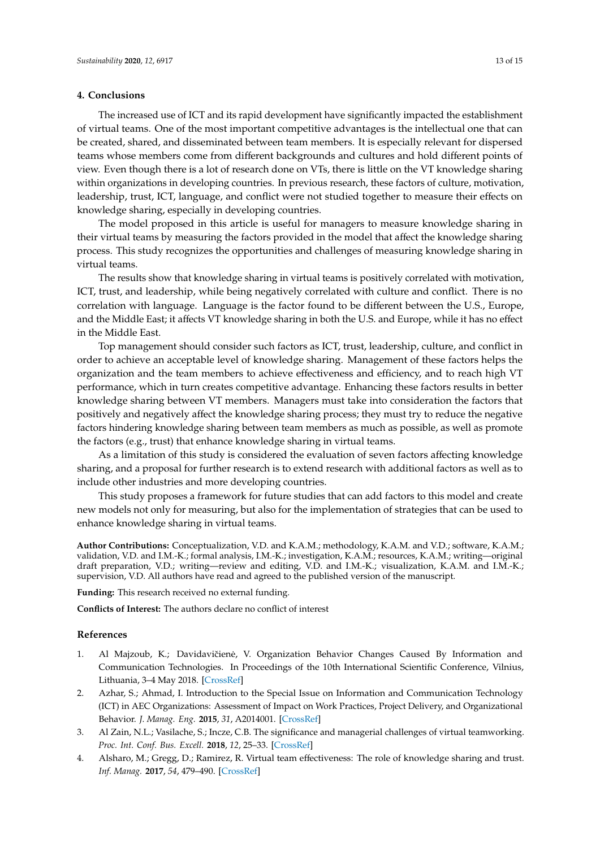### **4. Conclusions**

The increased use of ICT and its rapid development have significantly impacted the establishment of virtual teams. One of the most important competitive advantages is the intellectual one that can be created, shared, and disseminated between team members. It is especially relevant for dispersed teams whose members come from different backgrounds and cultures and hold different points of view. Even though there is a lot of research done on VTs, there is little on the VT knowledge sharing within organizations in developing countries. In previous research, these factors of culture, motivation, leadership, trust, ICT, language, and conflict were not studied together to measure their effects on knowledge sharing, especially in developing countries.

The model proposed in this article is useful for managers to measure knowledge sharing in their virtual teams by measuring the factors provided in the model that affect the knowledge sharing process. This study recognizes the opportunities and challenges of measuring knowledge sharing in virtual teams.

The results show that knowledge sharing in virtual teams is positively correlated with motivation, ICT, trust, and leadership, while being negatively correlated with culture and conflict. There is no correlation with language. Language is the factor found to be different between the U.S., Europe, and the Middle East; it affects VT knowledge sharing in both the U.S. and Europe, while it has no effect in the Middle East.

Top management should consider such factors as ICT, trust, leadership, culture, and conflict in order to achieve an acceptable level of knowledge sharing. Management of these factors helps the organization and the team members to achieve effectiveness and efficiency, and to reach high VT performance, which in turn creates competitive advantage. Enhancing these factors results in better knowledge sharing between VT members. Managers must take into consideration the factors that positively and negatively affect the knowledge sharing process; they must try to reduce the negative factors hindering knowledge sharing between team members as much as possible, as well as promote the factors (e.g., trust) that enhance knowledge sharing in virtual teams.

As a limitation of this study is considered the evaluation of seven factors affecting knowledge sharing, and a proposal for further research is to extend research with additional factors as well as to include other industries and more developing countries.

This study proposes a framework for future studies that can add factors to this model and create new models not only for measuring, but also for the implementation of strategies that can be used to enhance knowledge sharing in virtual teams.

**Author Contributions:** Conceptualization, V.D. and K.A.M.; methodology, K.A.M. and V.D.; software, K.A.M.; validation, V.D. and I.M.-K.; formal analysis, I.M.-K.; investigation, K.A.M.; resources, K.A.M.; writing—original draft preparation, V.D.; writing—review and editing, V.D. and I.M.-K.; visualization, K.A.M. and I.M.-K.; supervision, V.D. All authors have read and agreed to the published version of the manuscript.

**Funding:** This research received no external funding.

**Conflicts of Interest:** The authors declare no conflict of interest

#### **References**

- <span id="page-12-0"></span>1. Al Majzoub, K.; Davidavičienė, V. Organization Behavior Changes Caused By Information and Communication Technologies. In Proceedings of the 10th International Scientific Conference, Vilnius, Lithuania, 3–4 May 2018. [\[CrossRef\]](http://dx.doi.org/10.3846/bm.2018.15)
- <span id="page-12-1"></span>2. Azhar, S.; Ahmad, I. Introduction to the Special Issue on Information and Communication Technology (ICT) in AEC Organizations: Assessment of Impact on Work Practices, Project Delivery, and Organizational Behavior. *J. Manag. Eng.* **2015**, *31*, A2014001. [\[CrossRef\]](http://dx.doi.org/10.1061/(ASCE)ME.1943-5479.0000345)
- <span id="page-12-2"></span>3. Al Zain, N.L.; Vasilache, S.; Incze, C.B. The significance and managerial challenges of virtual teamworking. *Proc. Int. Conf. Bus. Excell.* **2018**, *12*, 25–33. [\[CrossRef\]](http://dx.doi.org/10.2478/picbe-2018-0004)
- <span id="page-12-3"></span>4. Alsharo, M.; Gregg, D.; Ramirez, R. Virtual team effectiveness: The role of knowledge sharing and trust. *Inf. Manag.* **2017**, *54*, 479–490. [\[CrossRef\]](http://dx.doi.org/10.1016/j.im.2016.10.005)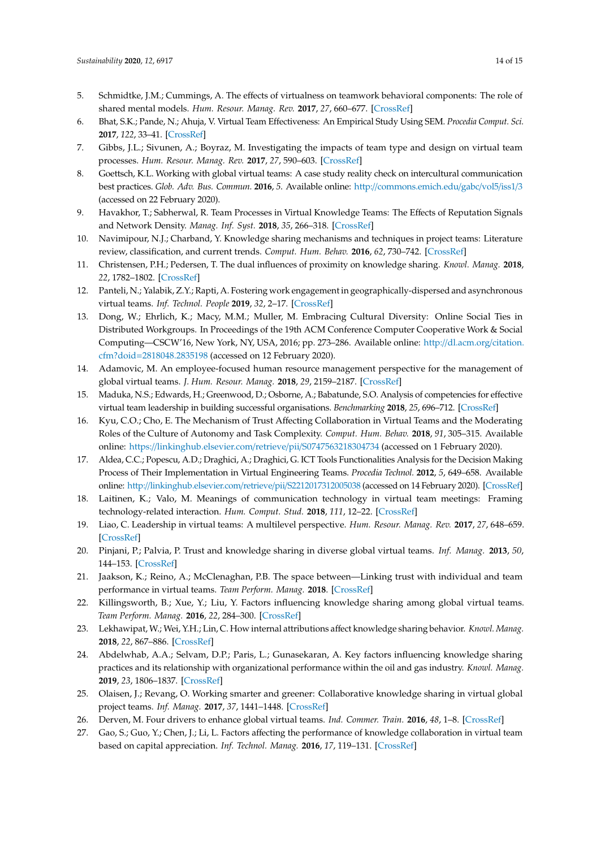- <span id="page-13-0"></span>5. Schmidtke, J.M.; Cummings, A. The effects of virtualness on teamwork behavioral components: The role of shared mental models. *Hum. Resour. Manag. Rev.* **2017**, *27*, 660–677. [\[CrossRef\]](http://dx.doi.org/10.1016/j.hrmr.2016.12.011)
- <span id="page-13-1"></span>6. Bhat, S.K.; Pande, N.; Ahuja, V. Virtual Team Effectiveness: An Empirical Study Using SEM. *Procedia Comput. Sci.* **2017**, *122*, 33–41. [\[CrossRef\]](http://dx.doi.org/10.1016/j.procs.2017.11.338)
- <span id="page-13-2"></span>7. Gibbs, J.L.; Sivunen, A.; Boyraz, M. Investigating the impacts of team type and design on virtual team processes. *Hum. Resour. Manag. Rev.* **2017**, *27*, 590–603. [\[CrossRef\]](http://dx.doi.org/10.1016/j.hrmr.2016.12.006)
- <span id="page-13-3"></span>8. Goettsch, K.L. Working with global virtual teams: A case study reality check on intercultural communication best practices. *Glob. Adv. Bus. Commun.* **2016**, *5*. Available online: http://[commons.emich.edu](http://commons.emich.edu/gabc/vol5/iss1/3)/gabc/vol5/iss1/3 (accessed on 22 February 2020).
- <span id="page-13-4"></span>9. Havakhor, T.; Sabherwal, R. Team Processes in Virtual Knowledge Teams: The Effects of Reputation Signals and Network Density. *Manag. Inf. Syst.* **2018**, *35*, 266–318. [\[CrossRef\]](http://dx.doi.org/10.1080/07421222.2018.1440755)
- <span id="page-13-5"></span>10. Navimipour, N.J.; Charband, Y. Knowledge sharing mechanisms and techniques in project teams: Literature review, classification, and current trends. *Comput. Hum. Behav.* **2016**, *62*, 730–742. [\[CrossRef\]](http://dx.doi.org/10.1016/j.chb.2016.05.003)
- <span id="page-13-6"></span>11. Christensen, P.H.; Pedersen, T. The dual influences of proximity on knowledge sharing. *Knowl. Manag.* **2018**, *22*, 1782–1802. [\[CrossRef\]](http://dx.doi.org/10.1108/JKM-03-2018-0211)
- <span id="page-13-7"></span>12. Panteli, N.; Yalabik, Z.Y.; Rapti, A. Fostering work engagement in geographically-dispersed and asynchronous virtual teams. *Inf. Technol. People* **2019**, *32*, 2–17. [\[CrossRef\]](http://dx.doi.org/10.1108/ITP-04-2017-0133)
- <span id="page-13-8"></span>13. Dong, W.; Ehrlich, K.; Macy, M.M.; Muller, M. Embracing Cultural Diversity: Online Social Ties in Distributed Workgroups. In Proceedings of the 19th ACM Conference Computer Cooperative Work & Social Computing—CSCW'16, New York, NY, USA, 2016; pp. 273–286. Available online: http://[dl.acm.org](http://dl.acm.org/citation.cfm?doid=2818048.2835198)/citation. cfm?doid=[2818048.2835198](http://dl.acm.org/citation.cfm?doid=2818048.2835198) (accessed on 12 February 2020).
- <span id="page-13-9"></span>14. Adamovic, M. An employee-focused human resource management perspective for the management of global virtual teams. *J. Hum. Resour. Manag.* **2018**, *29*, 2159–2187. [\[CrossRef\]](http://dx.doi.org/10.1080/09585192.2017.1323227)
- <span id="page-13-10"></span>15. Maduka, N.S.; Edwards, H.; Greenwood, D.; Osborne, A.; Babatunde, S.O. Analysis of competencies for effective virtual team leadership in building successful organisations. *Benchmarking* **2018**, *25*, 696–712. [\[CrossRef\]](http://dx.doi.org/10.1108/BIJ-08-2016-0124)
- <span id="page-13-11"></span>16. Kyu, C.O.; Cho, E. The Mechanism of Trust Affecting Collaboration in Virtual Teams and the Moderating Roles of the Culture of Autonomy and Task Complexity. *Comput. Hum. Behav.* **2018**, *91*, 305–315. Available online: https://[linkinghub.elsevier.com](https://linkinghub.elsevier.com/retrieve/pii/S0747563218304734)/retrieve/pii/S0747563218304734 (accessed on 1 February 2020).
- <span id="page-13-12"></span>17. Aldea, C.C.; Popescu, A.D.; Draghici, A.; Draghici, G. ICT Tools Functionalities Analysis for the Decision Making Process of Their Implementation in Virtual Engineering Teams. *Procedia Technol.* **2012**, *5*, 649–658. Available online: http://[linkinghub.elsevier.com](http://linkinghub.elsevier.com/retrieve/pii/S2212017312005038)/retrieve/pii/S2212017312005038 (accessed on 14 February 2020). [\[CrossRef\]](http://dx.doi.org/10.1016/j.protcy.2012.09.072)
- <span id="page-13-13"></span>18. Laitinen, K.; Valo, M. Meanings of communication technology in virtual team meetings: Framing technology-related interaction. *Hum. Comput. Stud.* **2018**, *111*, 12–22. [\[CrossRef\]](http://dx.doi.org/10.1016/j.ijhcs.2017.10.012)
- <span id="page-13-14"></span>19. Liao, C. Leadership in virtual teams: A multilevel perspective. *Hum. Resour. Manag. Rev.* **2017**, *27*, 648–659. [\[CrossRef\]](http://dx.doi.org/10.1016/j.hrmr.2016.12.010)
- <span id="page-13-15"></span>20. Pinjani, P.; Palvia, P. Trust and knowledge sharing in diverse global virtual teams. *Inf. Manag.* **2013**, *50*, 144–153. [\[CrossRef\]](http://dx.doi.org/10.1016/j.im.2012.10.002)
- <span id="page-13-16"></span>21. Jaakson, K.; Reino, A.; McClenaghan, P.B. The space between—Linking trust with individual and team performance in virtual teams. *Team Perform. Manag.* **2018**. [\[CrossRef\]](http://dx.doi.org/10.1108/TPM-03-2018-0024)
- <span id="page-13-17"></span>22. Killingsworth, B.; Xue, Y.; Liu, Y. Factors influencing knowledge sharing among global virtual teams. *Team Perform. Manag.* **2016**, *22*, 284–300. [\[CrossRef\]](http://dx.doi.org/10.1108/TPM-10-2015-0042)
- <span id="page-13-18"></span>23. Lekhawipat, W.; Wei, Y.H.; Lin, C. How internal attributions affect knowledge sharing behavior. *Knowl. Manag.* **2018**, *22*, 867–886. [\[CrossRef\]](http://dx.doi.org/10.1108/JKM-02-2017-0081)
- <span id="page-13-19"></span>24. Abdelwhab, A.A.; Selvam, D.P.; Paris, L.; Gunasekaran, A. Key factors influencing knowledge sharing practices and its relationship with organizational performance within the oil and gas industry. *Knowl. Manag.* **2019**, *23*, 1806–1837. [\[CrossRef\]](http://dx.doi.org/10.1108/JKM-06-2018-0394)
- <span id="page-13-20"></span>25. Olaisen, J.; Revang, O. Working smarter and greener: Collaborative knowledge sharing in virtual global project teams. *Inf. Manag.* **2017**, *37*, 1441–1448. [\[CrossRef\]](http://dx.doi.org/10.1016/j.ijinfomgt.2016.10.002)
- <span id="page-13-21"></span>26. Derven, M. Four drivers to enhance global virtual teams. *Ind. Commer. Train.* **2016**, *48*, 1–8. [\[CrossRef\]](http://dx.doi.org/10.1108/ICT-08-2015-0056)
- 27. Gao, S.; Guo, Y.; Chen, J.; Li, L. Factors affecting the performance of knowledge collaboration in virtual team based on capital appreciation. *Inf. Technol. Manag.* **2016**, *17*, 119–131. [\[CrossRef\]](http://dx.doi.org/10.1007/s10799-015-0248-y)